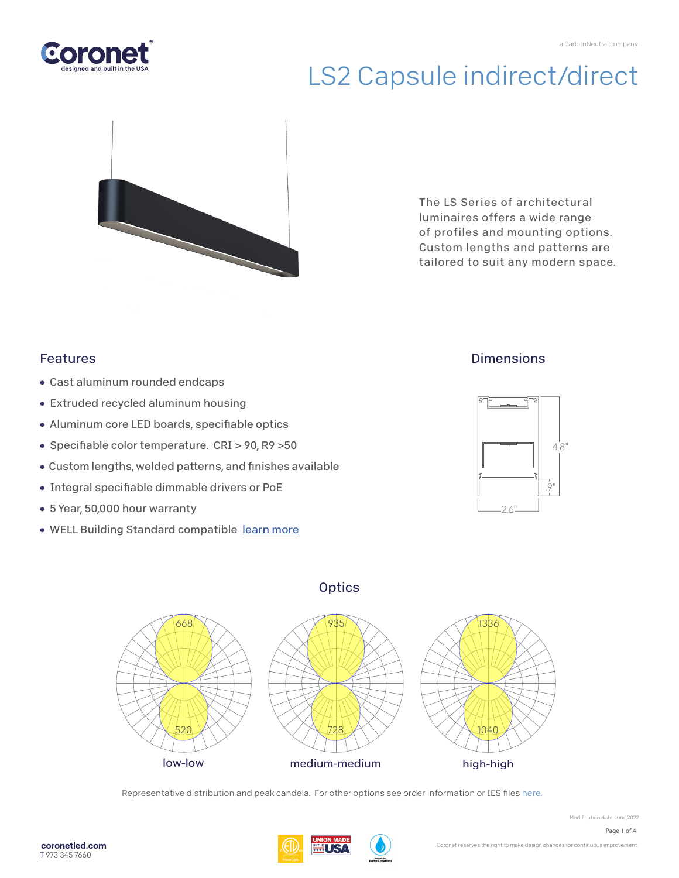



The LS Series of architectural luminaires offers a wide range of profiles and mounting options. Custom lengths and patterns are tailored to suit any modern space.

### Features

- Cast aluminum rounded endcaps
- Extruded recycled aluminum housing
- Aluminum core LED boards, specifiable optics
- Specifiable color temperature. CRI > 90, R9 > 50
- Custom lengths, welded patterns, and finishes available
- Integral specifiable dimmable drivers or PoE
- 5 Year, 50,000 hour warranty
- WELL Building Standard compatibl[e learn more](https://coronetled.com/well-v2-standard/)

### **Dimensions**







Representative distribution and peak candela. For other options see order information or IES file[s here.](https://coronetled.com/downloads/)

Page 1 of 4

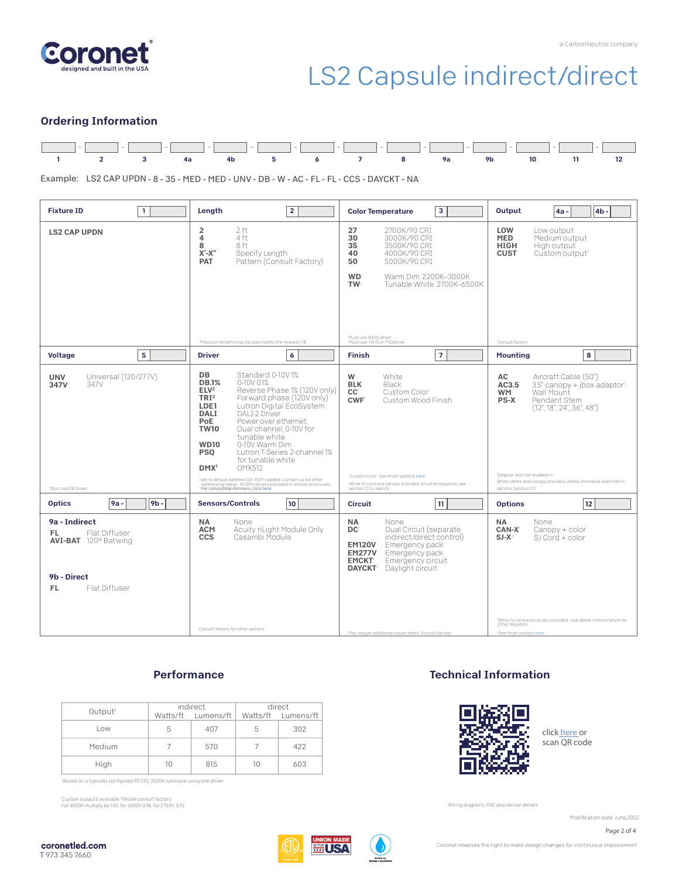



### Ordering Information



Example: LS2 CAP UPDN - 8 - 35 - MED - MED - UNV - DB - W - AC - FL - FL - CCS - DAYCKT - NA

| $\mathbf{1}$<br><b>Fixture ID</b>                                                                           | Length<br>$\overline{2}$                                                                                                                                                                                                                                                                                                                                                                                                                                                                                                                                                                                                                                      | 3<br><b>Color Temperature</b>                                                                                                                                                                                                                                                                   | Output<br>4 <sub>b</sub><br>$4a -$                                                                                                                                                                                                                                             |
|-------------------------------------------------------------------------------------------------------------|---------------------------------------------------------------------------------------------------------------------------------------------------------------------------------------------------------------------------------------------------------------------------------------------------------------------------------------------------------------------------------------------------------------------------------------------------------------------------------------------------------------------------------------------------------------------------------------------------------------------------------------------------------------|-------------------------------------------------------------------------------------------------------------------------------------------------------------------------------------------------------------------------------------------------------------------------------------------------|--------------------------------------------------------------------------------------------------------------------------------------------------------------------------------------------------------------------------------------------------------------------------------|
| <b>LS2 CAP UPDN</b>                                                                                         | 2 ft<br>$\overline{2}$<br>4<br>4 ft<br>8 ft<br>8<br>$X'$ - $X''$<br>Specify Length<br>Pattern (Consult Factory)<br><b>PAT</b><br>'Precision lengths may be specified to the nearest 1/8".                                                                                                                                                                                                                                                                                                                                                                                                                                                                     | 27<br>2700K/90 CRI<br>30<br>3000K/90 CRI<br>35<br>3500K/90 CRI<br>40<br>4000K/90 CRI<br>50<br>5000K/90 CRI<br><b>WD</b><br>Warm Dim 2200K-3000K<br>TW <sup>2</sup><br>Tunable White 2700K-6500K<br>'Must use WD10 driver.<br><sup>2</sup> Must use TW10 or PSQdriver.                           | LOW<br>Low output<br><b>MED</b><br>Medium output<br><b>HIGH</b><br>High output<br><b>CUST</b><br>Custom output <sup>1</sup><br>'consult factory                                                                                                                                |
| 5<br><b>Voltage</b>                                                                                         | $\boldsymbol{6}$<br><b>Driver</b>                                                                                                                                                                                                                                                                                                                                                                                                                                                                                                                                                                                                                             | $\overline{7}$<br><b>Finish</b>                                                                                                                                                                                                                                                                 | 8<br><b>Mounting</b>                                                                                                                                                                                                                                                           |
| Universal (120/277V)<br><b>UNV</b><br>347V<br>347V<br>Must use DB Driver                                    | DB<br>Standard 0-10V1%<br>$0-10V$ $01%$<br><b>DB.1%</b><br>ELV <sup>2</sup><br>Reverse Phase 1% (120V only)<br>TRI <sup>2</sup><br>Forward phase (120V only)<br>Lutron Digital EcoSystem<br>LDE1<br>DALI-2 Driver<br><b>DALI</b><br>PoE<br>Power over ethernet.<br><b>TW10</b><br>Dual channel, 0-10V for<br>tunable white.<br>0-10V Warm Dim<br><b>WD10</b><br>Lutron T-Series 2-channel 1%<br><b>PSO</b><br>for tunable white<br>DMX <sup>1</sup><br><b>DMX512</b><br>'Set to default address 001.RDM capable. Contact us for other<br>addressing needs. All DMX drivers provided in remote enclosuers.<br><sup>2</sup> For compatible dimmers, click here. | W<br>White<br>Black<br><b>BLK</b><br>CC <sup>1</sup><br>Custom Color<br><b>CWF</b><br>Custom Wood Finish<br>'Custom Color. See finish options here.<br>White SJ cord and canopy provided; for other requests, see<br>section 12 to specify.                                                     | AC<br>Aircraft Cable (50")<br>3.5" canopy + jbox adaptor<br>AC3.5<br>Wall Mount<br><b>WM</b><br>PS-X<br>Pendant Stem<br>(12'', 18'', 24'', 36'', 48'')<br>'Adaptor must be mudded-in<br>White stems and canopy provided unless otherwise specified in<br>options (section 12). |
| <b>Optics</b><br>9 <sub>b</sub><br>9a -                                                                     | <b>Sensors/Controls</b><br>10                                                                                                                                                                                                                                                                                                                                                                                                                                                                                                                                                                                                                                 | 11<br><b>Circuit</b>                                                                                                                                                                                                                                                                            | 12<br><b>Options</b>                                                                                                                                                                                                                                                           |
| 9a - Indirect<br>Flat Diffuser<br>FL.<br><b>AVI-BAT</b> 120° Batwing<br>9b - Direct<br>Flat Diffuser<br>FL. | NA.<br>None<br>Acuity nLight Module Only<br><b>ACM</b><br>Casambi Module<br><b>CCS</b><br>Consult factory for other options.                                                                                                                                                                                                                                                                                                                                                                                                                                                                                                                                  | <b>NA</b><br>None<br>DC <sup>1</sup><br>Dual Circuit (separate<br>indirect/direct control)<br>Emergency pack<br><b>EM120V</b><br><b>EM277V</b><br>Emergency pack<br><b>EMCKT</b><br>Emergency circuit<br><b>DAYCKT</b> Daylight circuit<br>'May require additional power feeds. Consult factory | <b>NA</b><br>None<br>Canopy + color<br>CAN-X <sup>1</sup><br>$SI-X^2$<br>$SI$ Cord + color<br>White SJ cord and canopy provided; use above nomenclature for<br>other requests.<br><sup>2</sup> See finish options here.                                                        |

### **Performance**

|                     | indirect |                    | direct |                    |
|---------------------|----------|--------------------|--------|--------------------|
| Output <sup>1</sup> |          | Watts/ft Lumens/ft |        | Watts/ft Lumens/ft |
| Low                 | 5        | 407                | 5      | 302                |
| Medium              |          | 570                |        | 422                |
| High                | 10       | 815                | 10     | 603                |

Based on a typically configured 90 CRI, 3500K luminaire using one driver.

Custom outputs available. Please consult factory. For 4000K multiply by 1.05; for 3000K 0.96; for 2700K, 0.92.

### Technical Information



click [here or](https://coronetled.com/warranty-technical-info/) scan QR code

Wiring diagrams, PoE and sensor details

Modification date: June.2022

Page 2 of 4



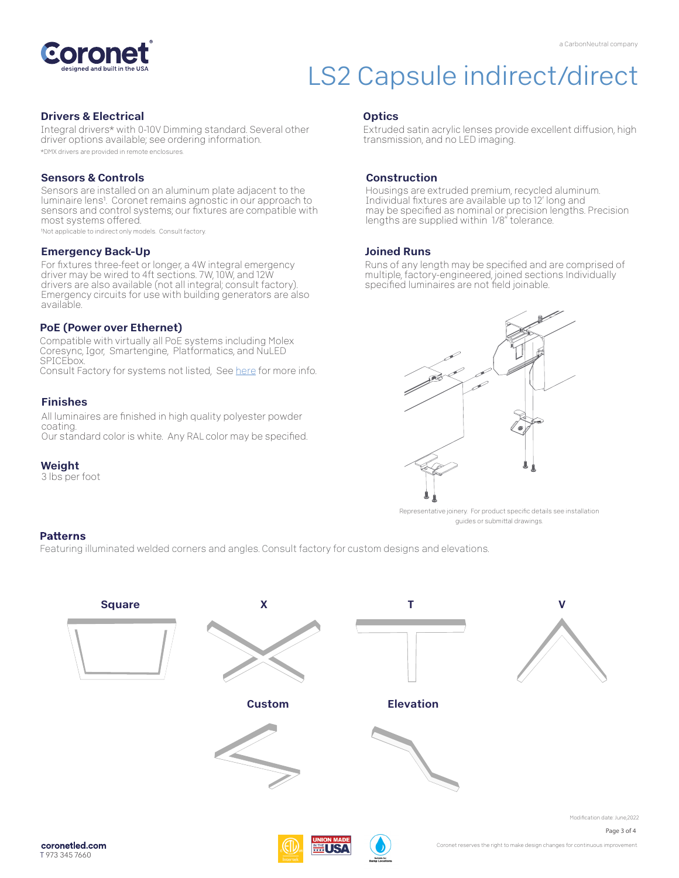

#### Drivers & Electrical

Integral drivers\* with 0-10V Dimming standard. Several other driver options available; see ordering information. \*DMX drivers are provided in remote enclosures.

#### Sensors & Controls

Sensors are installed on an aluminum plate adjacent to the luminaire lens<sup>1</sup>. Coronet remains agnostic in our approach to sensors and control systems; our fixtures are compatible with most systems offered.

1Not applicable to indirect only models. Consult factory.

#### Emergency Back-Up

For fixtures three-feet or longer, a 4W integral emergency driver may be wired to 4ft sections. 7W, 10W, and 12W drivers are also available (not all integral; consult factory). Emergency circuits for use with building generators are also available.

#### PoE (Power over Ethernet)

Compatible with virtually all PoE systems including Molex Coresync, Igor, Smartengine, Platformatics, and NuLED SPICEbox. Consult Factory for systems not listed, See [here f](https://coronetled.com/warranty-technical-info/)or more info.

#### Finishes

All luminaires are finished in high quality polyester powder coating. Our standard color is white. Any RAL color may be specified.

#### Weight

3 lbs per foot

#### **Optics**

Extruded satin acrylic lenses provide excellent diffusion, high transmission, and no LED imaging.

#### Construction

Housings are extruded premium, recycled aluminum. Individual fixtures are available up to 12' long and may be specified as nominal or precision lengths. Precision lengths are supplied within 1/8" tolerance.

#### Joined Runs

Runs of any length may be specified and are comprised of multiple, factory-engineered, joined sections. Individually specified luminaires are not field joinable.



Representative joinery. For product specific details see installation guides or submittal drawings.

#### **Patterns**

Featuring illuminated welded corners and angles. Consult factory for custom designs and elevations.



T 973 345 7660